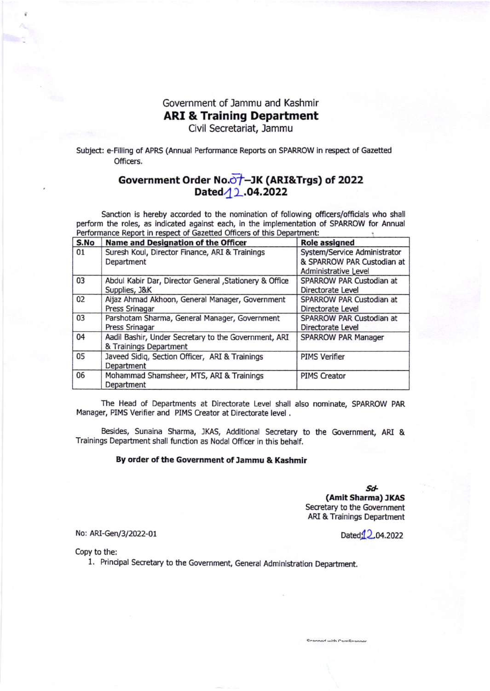## Government of Jammu and Kashmir ARI & Training Department

Civil Secretariat, Jammu

Subject: e-Filling of APRS (Annual Performance Reports on SPARROW in respect of Gazetted Officers.

## Government Order No.<del>o†</del>–JK (ARI&Trgs) of 2022 Dated 12.04.2022

Sanction is hereby accorded to the nomination of following officers/officials who shall perform the roles, as indicated against each, in the implementation of SPARROW for Annual Performance Report in respect of Gazetted Officers of this Department:

| S.No | Name and Designation of the Officer                     | <b>Role assigned</b>         |
|------|---------------------------------------------------------|------------------------------|
| 01   | Suresh Koul, Director Finance, ARI & Trainings          | System/Service Administrator |
|      | Department                                              | & SPARROW PAR Custodian at   |
|      |                                                         | Administrative Level         |
| 03   | Abdul Kabir Dar, Director General , Stationery & Office | SPARROW PAR Custodian at     |
|      | Supplies, J&K                                           | Directorate Level            |
| 02   | Aijaz Ahmad Akhoon, General Manager, Government         | SPARROW PAR Custodian at     |
|      | Press Srinagar                                          | Directorate Level            |
| 03   | Parshotam Sharma, General Manager, Government           | SPARROW PAR Custodian at     |
|      | Press Srinagar                                          | Directorate Level            |
| 04   | Aadil Bashir, Under Secretary to the Government, ARI    | <b>SPARROW PAR Manager</b>   |
|      | & Trainings Department                                  |                              |
| 05   | Javeed Sidiq, Section Officer, ARI & Trainings          | <b>PIMS Verifier</b>         |
|      | Department                                              |                              |
| 06   | Mohammad Shamsheer, MTS, ARI & Trainings                | <b>PIMS Creator</b>          |
|      | Department                                              |                              |

The Head of Departments at Directorate Level shall also nominate, SPARROW PAR Manager, PIMS Verifier and PIMS Creator at Directorate level.

Besides, Sunaina Sharma, JKAS, Additional Secretary to the Government, ARI & Trainings Department shall function as Nodal Officer in this behalf.

## By order of the Government of Jammu & Kashmir

Sd-(Amit Sharma) JKAS<br>Secretary to the Government ARI & Trainings Department

nnad with CamCranna

No: ARI-Gen/3/2022-01 Dated,<sup>1</sup>2,04.2022

Copy to the:

1. Principal Secretary to the Government, General Administation Department.